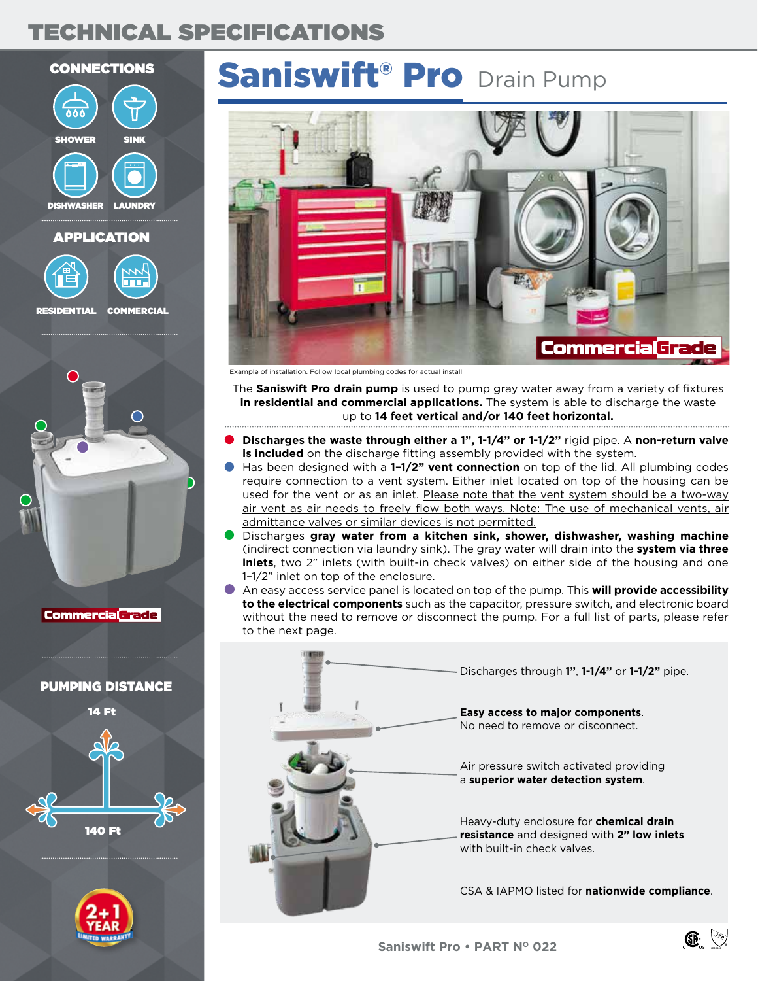### TECHNICAL SPECIFICATIONS

## CONNECTIONS SINK **LAUNDRY SHOWER** DISHWASHER





RESIDENTIAL COMMERCIAL



**Commercia Grade** 

### PUMPING DISTANCE





# Saniswift<sup>®</sup> Pro Drain Pump



Example of installation. Follow local plumbing codes for actual install.

The **Saniswift Pro drain pump** is used to pump gray water away from a variety of fixtures **in residential and commercial applications.** The system is able to discharge the waste up to **14 feet vertical and/or 140 feet horizontal.**

- **Discharges the waste through either a 1", 1-1/4" or 1-1/2"** rigid pipe. A **non-return valve is included** on the discharge fitting assembly provided with the system.
- Has been designed with a **1–1/2" vent connection** on top of the lid. All plumbing codes require connection to a vent system. Either inlet located on top of the housing can be used for the vent or as an inlet. Please note that the vent system should be a two-way air vent as air needs to freely flow both ways. Note: The use of mechanical vents, air admittance valves or similar devices is not permitted.
- Discharges **gray water from a kitchen sink, shower, dishwasher, washing machine** (indirect connection via laundry sink). The gray water will drain into the **system via three inlets**, two 2" inlets (with built-in check valves) on either side of the housing and one 1–1/2" inlet on top of the enclosure.
- An easy access service panel is located on top of the pump. This **will provide accessibility to the electrical components** such as the capacitor, pressure switch, and electronic board without the need to remove or disconnect the pump. For a full list of parts, please refer to the next page.



ASME A112.3.4

 $\circledR$